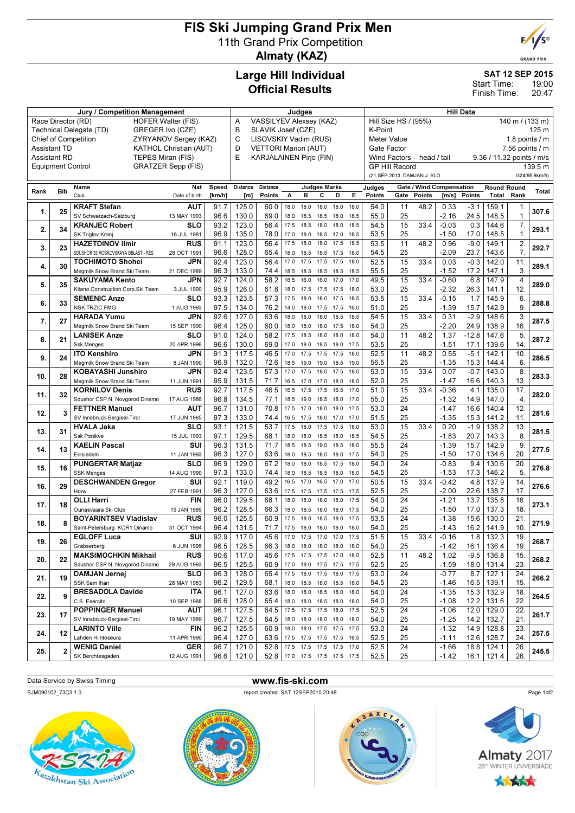# FIS Ski Jumping Grand Prix Men 11th Grand Prix Competition Almaty (KAZ)



**GRAND PRIX** 

## Large Hill Individual Official Results

#### SAT 12 SEP 2015 19:00 Start Time:

20:47 Finish Time:

|                          |                | <b>Jury / Competition Management</b>                 | Judges                                |                 |                                                                                                            |                       |              | <b>Hill Data</b>                        |                                     |                                                     |                                                              |                 |        |                                          |                |                             |                        |       |
|--------------------------|----------------|------------------------------------------------------|---------------------------------------|-----------------|------------------------------------------------------------------------------------------------------------|-----------------------|--------------|-----------------------------------------|-------------------------------------|-----------------------------------------------------|--------------------------------------------------------------|-----------------|--------|------------------------------------------|----------------|-----------------------------|------------------------|-------|
| Race Director (RD)       |                | <b>HOFER Walter (FIS)</b>                            | Α<br>VASSILYEV Alexsey (KAZ)          |                 |                                                                                                            |                       |              | Hill Size HS / (95%)<br>140 m / (133 m) |                                     |                                                     |                                                              |                 |        |                                          |                |                             |                        |       |
|                          |                | GREGER Ivo (CZE)<br>Technical Delegate (TD)          |                                       |                 | B                                                                                                          | SLAVIK Josef (CZE)    |              |                                         |                                     |                                                     | K-Point<br>125 m                                             |                 |        |                                          |                |                             |                        |       |
|                          |                | <b>Chief of Competition</b>                          | ZYRYANOV Sergey (KAZ)                 |                 | C                                                                                                          | LISOVSKIY Vadim (RUS) |              |                                         |                                     |                                                     | Meter Value<br>1.8 points $\sqrt{}$ m<br>$7.56$ points $/ m$ |                 |        |                                          |                |                             |                        |       |
| <b>Assistant TD</b>      |                | <b>KATHOL Christian (AUT)</b>                        |                                       | D               | Gate Factor<br><b>VETTORI Marion (AUT)</b><br><b>KARJALAINEN Pirjo (FIN)</b><br>Wind Factors - head / tail |                       |              |                                         |                                     |                                                     |                                                              |                 |        |                                          |                |                             |                        |       |
| <b>Assistant RD</b>      |                | TEPES Miran (FIS)                                    |                                       |                 | E                                                                                                          |                       |              |                                         |                                     |                                                     |                                                              |                 |        |                                          |                | 9.36 / 11.32 points / m/s   |                        |       |
| <b>Equipment Control</b> |                | <b>GRATZER Sepp (FIS)</b>                            |                                       |                 |                                                                                                            |                       |              |                                         |                                     | <b>GP Hill Record</b><br>(21 SEP 2013 DAMJAN J. SLO |                                                              |                 |        |                                          |                | 139.5 m<br>G24/95.6km/h)    |                        |       |
|                          |                |                                                      |                                       |                 |                                                                                                            |                       |              |                                         |                                     |                                                     |                                                              |                 |        |                                          |                |                             |                        |       |
| Rank                     | <b>Bib</b>     | Name<br>Club                                         | Nat<br>Date of birth                  | Speed<br>[km/h] | Distance<br>[m]                                                                                            | Distance<br>Points    | А            | В                                       | <b>Judges Marks</b><br>c<br>D       | Е                                                   | Judges<br>Points                                             | Gate            | Points | <b>Gate / Wind Compensation</b><br>[m/s] | Points         | <b>Round Round</b><br>Total | Rank                   | Total |
|                          |                | <b>KRAFT Stefan</b>                                  | AUT                                   | 91.7            | 125.0                                                                                                      | 60.0                  | 18.0         | 18.0                                    | 18.0<br>18.0                        | 18.0                                                | 54.0                                                         | 11              | 48.2   | 0.33                                     | $-3.1$         | 159.1                       | $\mathbf{1}$ .         |       |
| 1.                       | 25             | SV Schwarzach-Salzburg                               | 13 MAY 1993                           | 96.6            | 130.0                                                                                                      | 69.0                  | 18.0         | 18.5 18.5                               | 18.0                                | 18.5                                                | 55.0                                                         | 25              |        | $-2.16$                                  | 24.5           | 148.5                       | 1.                     | 307.6 |
|                          |                | <b>KRANJEC Robert</b>                                | SLO                                   | 93.2            | 123.0                                                                                                      | 56.4                  | 17.5         | 18.5                                    | 18.0<br>18.0                        | 18.5                                                | 54.5                                                         | 15              | 33.4   | $-0.03$                                  | 0.3            | 144.6                       | 7.                     |       |
| 2.                       | 34             | SK Triglav Kranj                                     | 16 JUL 1981                           | 96.9            | 135.0                                                                                                      | 78.0                  | 17.0         | 18.0                                    | 18.5<br>17.0                        | 18.5                                                | 53.5                                                         | 25              |        | $-1.50$                                  | 17.0           | 148.5                       | $\mathbf{1}$ .         | 293.1 |
| 3.                       | 23             | <b>HAZETDINOV Ilmir</b>                              | <b>RUS</b>                            | 91.1            | 123.0                                                                                                      | 56.4                  | 17.5         | 18.0                                    | 18.0<br>17.5                        | 18.5                                                | 53.5                                                         | 11              | 48.2   | 0.96                                     | $-9.0$         | 149.1                       | 2.                     | 292.7 |
|                          |                | SDUSHOR 33 MOSKOVSKAYA OBLAST - RES                  | 28 OCT 1991                           | 96.6            | 128.0                                                                                                      | 65.4                  | 18.0         | 18.5                                    | 17.5<br>18.5                        | 18.0                                                | 54.5                                                         | 25              |        | $-2.09$                                  | 23.7           | 143.6                       | $\overline{7}$ .       |       |
| 4.                       | 30             | TOCHIMOTO Shohei                                     | JPN                                   | 92.4            | 123.0                                                                                                      | 56.4                  | 17.0         | 17.5                                    | 17.5<br>17.5                        | 18.0                                                | 52.5                                                         | 15              | 33.4   | 0.03                                     | $-0.3$         | 142.0                       | 11.                    | 289.1 |
|                          |                | Megmilk Snow Brand Ski Team<br><b>SAKUYAMA Kento</b> | 21 DEC 1989<br>JPN                    | 96.3<br>92.7    | 133.0<br>124.0                                                                                             | 74.4<br>58.2          | 18.5<br>16.5 | 18.5<br>16.0                            | 18.5<br>18.5<br>16.0<br>17.0        | 18.5<br>17.0                                        | 55.5<br>49.5                                                 | 25<br>15        | 33.4   | $-1.52$<br>$-0.60$                       | 17.2<br>6.8    | 147.1<br>147.9              | 3.<br>$\overline{4}$   |       |
| 5.                       | 35             | Kitano Construction Corp. Ski Team                   | 3 JUL 1990                            | 95.9            | 126.0                                                                                                      | 61.8                  | 18.0         | 17.5 17.5                               | 17.5                                | 18.0                                                | 53.0                                                         | 25              |        | $-2.32$                                  | 26.3           | 141.1                       | 12.                    | 289.0 |
|                          |                | <b>SEMENIC Anze</b>                                  | <b>SLO</b>                            | 93.3            | 123.5                                                                                                      | 57.3                  | 17.5         | 18.0                                    | 18.0<br>17.5                        | 18.5                                                | 53.5                                                         | 15              | 33.4   | $-0.15$                                  | 1.7            | 145.9                       | 6.                     |       |
| 6.                       | 33             | <b>NSK TRZIC FMG</b>                                 | 1 AUG 1993                            | 97.5            | 134.0                                                                                                      | 76.2                  | 14.0         |                                         | 18.0 17.5 17.5                      | 16.0                                                | 51.0                                                         | 25              |        | $-1.39$                                  | 15.7           | 142.9                       | 9.                     | 288.8 |
| 7.                       | 27             | <b>HARADA Yumu</b>                                   | JPN                                   | 92.6            | 127.0                                                                                                      | 63.6                  | 18.0         | 18.0                                    | 18.0<br>18.5                        | 18.5                                                | 54.5                                                         | 15              | 33.4   | 0.31                                     | $-2.9$         | 148.6                       | 3.                     | 287.5 |
|                          |                | Meamilk Snow Brand Ski Team                          | 15 SEP 1990                           | 96.4            | 125.0                                                                                                      | 60.0                  | 18.0         | 18.0 18.0                               | 17.5                                | 18.0                                                | 54.0                                                         | 25              |        | $-2.20$                                  | 24.9           | 138.9                       | 16.                    |       |
| 8.                       | 21             | <b>LANISEK Anze</b>                                  | SLO                                   | 91.0            | 124.0                                                                                                      | 58.2                  | 17.5         | 18.5                                    | 18.0<br>18.0                        | 18.0                                                | 54.0                                                         | 11              | 48.2   | 1.37                                     | $-12.8$        | 147.6                       | 5.                     | 287.2 |
|                          |                | <b>Ssk Menges</b><br><b>ITO Kenshiro</b>             | 20 APR 1996<br><b>JPN</b>             | 96.6<br>91.3    | 130.0<br>117.5                                                                                             | 69.0<br>46.5          | 17.0<br>17.0 | 18.0 18.5<br>17.5                       | 18.0<br>17.5<br>17.5                | 17.5<br>18.0                                        | 53.5<br>52.5                                                 | 25<br>11        | 48.2   | $-1.51$<br>0.55                          | 17.1<br>$-5.1$ | 139.6<br>142.1              | 14.<br>10.             |       |
| 9.                       | 24             | Megmilk Snow Brand Ski Team                          | 8 JAN 1990                            | 96.9            | 132.0                                                                                                      | 72.6                  | 18.5         | 19.0                                    | 18.5<br>19.0                        | 19.0                                                | 56.5                                                         | 25              |        | $-1.35$                                  | 15.3           | 144.4                       | 6.                     | 286.5 |
|                          |                | KOBAYASHI Junshiro                                   | JPN                                   | 92.4            | 123.5                                                                                                      | 57.3                  | 17.0         | 17.5                                    | 18.0<br>17.5                        | 18.0                                                | 53.0                                                         | 15              | 33.4   | 0.07                                     | $-0.7$         | 143.0                       | 8.                     |       |
| 10.                      | 28             | Megmilk Snow Brand Ski Team                          | 11 JUN 1991                           | 95.9            | 131.5                                                                                                      | 71.7                  | 16.5         | 17.0                                    | 17.0<br>18.0                        | 18.0                                                | 52.0                                                         | 25              |        | $-1.47$                                  | 16.6           | 140.3                       | 13.                    | 283.3 |
| 11.                      | 32             | <b>KORNILOV Denis</b>                                | <b>RUS</b>                            | 92.7            | 117.5                                                                                                      | 46.5                  | 16.5         | 17.5                                    | 17.5<br>16.5                        | 17.0                                                | 51.0                                                         | 15              | 33.4   | $-0.36$                                  | 4.1            | 135.0                       | 17.                    | 282.0 |
|                          |                | Sdushor CSP N. Novgorod Dinamo                       | 17 AUG 1986                           | 96.8            | 134.5                                                                                                      | 77.1                  | 18.5         | 19.0 18.5                               | 18.0                                | 17.0                                                | 55.0                                                         | 25              |        | $-1.32$                                  | 14.9           | 147.0                       | $\overline{4}$ .       |       |
| 12.                      | 3              | <b>FETTNER Manuel</b><br>SV Innsbruck-Bergisel-Tirol | AUT<br>17 JUN 1985                    | 96.7<br>97.3    | 131.0<br>133.0                                                                                             | 70.8<br>74.4          | 17.5<br>16.5 | 17.0<br>17.5 18.0                       | 18.0<br>18.0<br>17.0                | 17.5<br>17.0                                        | 53.0<br>51.5                                                 | 24<br>25        |        | $-1.47$<br>$-1.35$                       | 16.6           | 140.4                       | 12.<br>11.             | 281.6 |
|                          |                | <b>HVALA Jaka</b>                                    | SLO                                   | 93.1            | 121.5                                                                                                      | 53.7                  | 17.5         | 18.0                                    | 17.5<br>17.5                        | 18.0                                                | 53.0                                                         | 15              | 33.4   | 0.20                                     | 15.3<br>$-1.9$ | 141.2<br>138.2              | 13.                    |       |
| 13.                      | 31             | Ssk Ponikve                                          | 15 JUL 1993                           | 97.1            | 129.5                                                                                                      | 68.1                  | 18.0         | 18.0 18.5                               | 18.0                                | 18.5                                                | 54.5                                                         | 25              |        | $-1.83$                                  | 20.7           | 143.3                       | 8.                     | 281.5 |
| 14.                      | 13             | <b>KAELIN Pascal</b>                                 | SUI                                   | 96.3            | 131.5                                                                                                      | 71.7                  | 18.5         | 18.5                                    | 19.0<br>18.5                        | 18.0                                                | 55.5                                                         | 24              |        | $-1.39$                                  | 15.7           | 142.9                       | 9.                     | 277.5 |
|                          |                | Einsiedeln                                           | 11 JAN 1993                           | 96.3            | 127.0                                                                                                      | 63.6                  | 18.0         | 18.5 18.0                               | 18.0                                | 17.5                                                | 54.0                                                         | 25              |        | $-1.50$                                  | 17.0           | 134.6                       | 20.                    |       |
| 15.                      | 16             | <b>PUNGERTAR Matjaz</b>                              | SLO                                   | 96.9            | 129.0                                                                                                      | 67.2                  | 18.0         | 18.0                                    | 18.5<br>17.5                        | 18.0                                                | 54.0                                                         | 24              |        | $-0.83$                                  | 9.4            | 130.6                       | 20.                    | 276.8 |
|                          |                | <b>SSK Menges</b><br><b>DESCHWANDEN Gregor</b>       | 14 AUG 1990<br>SUI                    | 97.3<br>92.1    | 133.0<br>119.0                                                                                             | 74.4<br>49.2          | 18.0<br>16.5 | 18.5<br>17.0                            | 18.5<br>18.0<br>16.5<br>17.0        | 18.0<br>17.0                                        | 54.5<br>50.5                                                 | 25<br>15        | 33.4   | $-1.53$<br>$-0.42$                       | 17.3<br>4.8    | 146.2<br>137.9              | 5.<br>14.              |       |
| 16.                      | 29             | Horw                                                 | 27 FEB 1991                           | 96.3            | 127.0                                                                                                      | 63.6                  | 17.5         | 17.5                                    | 17.5<br>17.5                        | 17.5                                                | 52.5                                                         | 25              |        | $-2.00$                                  | 22.6           | 138.7                       | 17.                    | 276.6 |
|                          | 18             | <b>OLLI Harri</b>                                    | <b>FIN</b>                            | 96.0            | 129.5                                                                                                      | 68.1                  | 18.0         | 18.0                                    | 18.0<br>18.0                        | 17.5                                                | 54.0                                                         | $\overline{24}$ |        | $-1.21$                                  | 13.7           | 135.8                       | 16.                    |       |
| 17.                      |                | Ounasvaara Ski Club                                  | 15 JAN 1985                           | 96.2            | 128.5                                                                                                      | 66.3                  | 18.0         | 18.5                                    | 18.0<br>18.0                        | 17.5                                                | 54.0                                                         | 25              |        | $-1.50$                                  | 17.0           | 137.3                       | 18.                    | 273.1 |
| 18.                      | 8              | <b>BOYARINTSEV Vladislav</b>                         | <b>RUS</b>                            | 96.0            | 125.5                                                                                                      | 60.9                  | 17.5         | 18.0                                    | 18.5<br>18.0                        | 17.5                                                | 53.5                                                         | 24              |        | $-1.38$                                  | 15.6           | 130.0                       | 21                     | 271.9 |
|                          |                | Saint-Petersburg KOR1 Dinamo<br><b>EGLOFF Luca</b>   | 31 OCT 1994<br>$\overline{\text{su}}$ | 96.4<br>92.9    | 131.5<br>117.0                                                                                             | 71.7<br>45.6          | 17.5<br>17.0 | 17.5                                    | 18.0 18.0 18.0 18.0<br>17.0<br>17.0 | 17.5                                                | 54.0<br>51.5                                                 | 25<br>15        | 33.4   | $-1.43$<br>$-0.16$                       | 16.2<br>1.8    | 141.9<br>132.3              | 10.<br>$\overline{19}$ |       |
| 19.                      | 26             | Grabserberg                                          | 6 JUN 1995                            | 96.5            | 128.5                                                                                                      | 66.3                  |              |                                         | 18.0 18.0 18.0 18.0 18.0            |                                                     | 54.0                                                         | 25              |        | $-1.42$                                  | 16.1           | 136.4                       | 19.                    | 268.7 |
|                          |                | <b>MAKSIMOCHKIN Mikhail</b>                          | <b>RUS</b>                            | 90.6            | 117.0                                                                                                      | 45.6                  | 17.5         |                                         | 17.5 17.5 17.0                      | 18.0                                                | 52.5                                                         | 11              | 48.2   | 1.02                                     | $-9.5$         | 136.8                       | 15.                    |       |
| 20.                      | 22             | Sdushor CSP N. Novgorod Dinamo                       | 29 AUG 1993                           | 96.5            | 125.5                                                                                                      | 60.9                  | 17.0         |                                         | 18.0 17.5 17.5 17.5                 |                                                     | 52.5                                                         | 25              |        | $-1.59$                                  | 18.0           | 131.4                       | 23.                    | 268.2 |
| 21.                      | 19             | DAMJAN Jernej                                        | <b>SLO</b>                            | 96.3            | 128.0                                                                                                      | 65.4                  | 17.5         | 18.0 17.5                               | 18.0                                | 17.5                                                | 53.0                                                         | 24              |        | $-0.77$                                  | 8.7            | 127.1                       | 24.                    | 266.2 |
|                          |                | SSK Sam Ihan<br><b>BRESADOLA Davide</b>              | 28 MAY 1983<br>ITA                    | 96.2            | 129.5                                                                                                      | 68.1                  | 18.0         |                                         | 18.5 18.0 18.5 18.0                 | 18.0                                                | 54.5                                                         | 25              |        | $-1.46$                                  | 16.5           | 139.1                       | 15.                    |       |
| 22.                      | 9              | C.S. Esercito                                        | 10 SEP 1988                           | 96.1<br>96.6    | 127.0<br>128.0                                                                                             | 63.6<br>65.4          | 18.0<br>18.0 |                                         | 18.0 18.5 18.0<br>18.0 18.5 18.0    | 18.0                                                | 54.0<br>54.0                                                 | 24<br>25        |        | $-1.35$<br>$-1.08$                       | 15.3<br>12.2   | 132.9<br>131.6              | 18.<br>22.             | 264.5 |
|                          |                | <b>POPPINGER Manuel</b>                              | AUT                                   | 96.1            | 127.5                                                                                                      | 64.5                  | 17.5         |                                         | 17.5 17.5 18.0                      | 17.5                                                | 52.5                                                         | 24              |        | $-1.06$                                  | 12.0           | 129.0                       | 22.                    |       |
| 23.                      | 17             | SV Innsbruck-Bergisel-Tirol                          | 19 MAY 1989                           | 96.7            | 127.5                                                                                                      | 64.5                  | 18.0         |                                         | 18.0 18.0 18.0 18.0                 |                                                     | 54.0                                                         | 25              |        | $-1.25$                                  | 14.2           | 132.7                       | 21.                    | 261.7 |
| 24.                      | 12             | <b>LARINTO Ville</b>                                 | FIN                                   | 96.2            | 125.5                                                                                                      | 60.9                  | 18.0         | 18.0 17.5                               | 17.5                                | 17.5                                                | 53.0                                                         | 24              |        | $-1.32$                                  | 14.9           | 128.8                       | 23.                    | 257.5 |
|                          |                | Lahden Hiihtoseura                                   | 11 APR 1990                           | 96.4            | 127.0                                                                                                      | 63.6                  | 17.5         |                                         | 17.5 17.5 17.5 16.5                 |                                                     | 52.5                                                         | 25              |        | $-1.11$                                  | 12.6           | 128.7                       | 24.                    |       |
| 25.                      | $\overline{2}$ | <b>WENIG Daniel</b><br>SK Berchtesgaden              | GER<br>12 AUG 1991                    | 96.7<br>96.6    | 121.0<br>121.0                                                                                             | 52.8<br>52.8          | 17.5         | 17.5 17.5                               | 17.0 17.5 17.5 17.5 17.5            | 17.5 17.0                                           | 52.5<br>52.5                                                 | 24<br>25        |        | $-1.66$<br>$-1.42$                       | 18.8<br>16.1   | 124.1<br>121.4              | 26.<br>26.             | 245.5 |
|                          |                |                                                      |                                       |                 |                                                                                                            |                       |              |                                         |                                     |                                                     |                                                              |                 |        |                                          |                |                             |                        |       |

#### Data Service by Swiss Timing **www.fis-ski.com**













Page 1of2